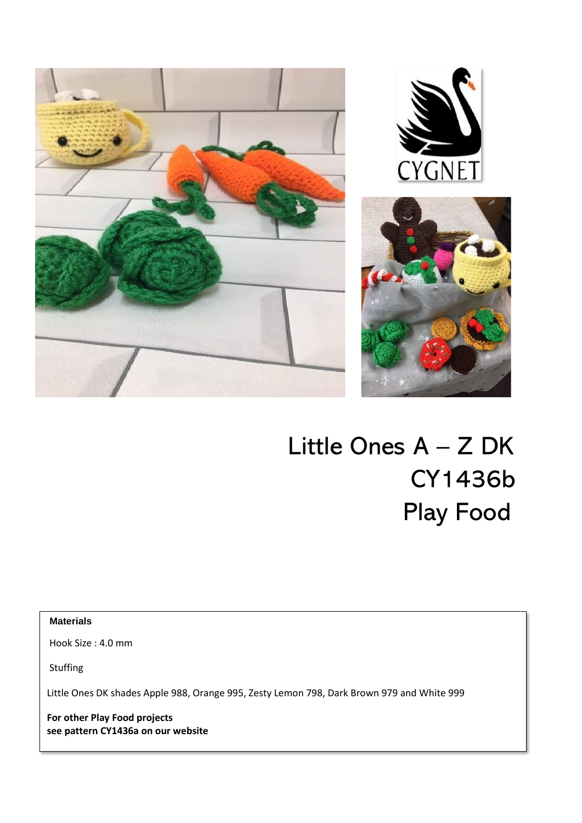

# Little Ones A – Z DK CY1436b Play Food

**Materials** 

 $\overline{1}$ 

Hook Size : 4.0 mm

Stuffing

Little Ones DK shades Apple 988, Orange 995, Zesty Lemon 798, Dark Brown 979 and White 999

**For other Play Food projects see pattern CY1436a on our website**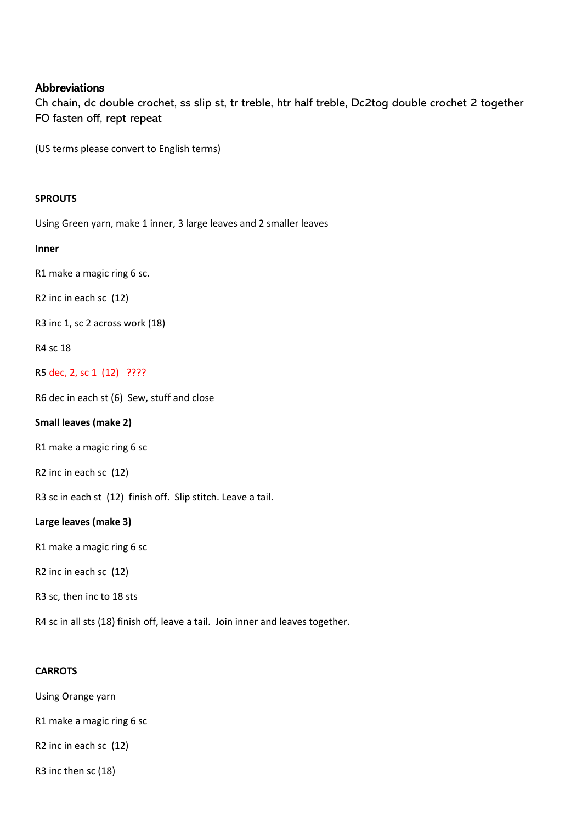## Abbreviations

Ch chain, dc double crochet, ss slip st, tr treble, htr half treble, Dc2tog double crochet 2 together FO fasten off, rept repeat

(US terms please convert to English terms)

# **SPROUTS**

Using Green yarn, make 1 inner, 3 large leaves and 2 smaller leaves

#### **Inner**

R1 make a magic ring 6 sc.

R2 inc in each sc (12)

R3 inc 1, sc 2 across work (18)

R4 sc 18

R5 dec, 2, sc 1 (12) ????

R6 dec in each st (6) Sew, stuff and close

#### **Small leaves (make 2)**

R1 make a magic ring 6 sc

R2 inc in each sc (12)

R3 sc in each st (12) finish off. Slip stitch. Leave a tail.

#### **Large leaves (make 3)**

R1 make a magic ring 6 sc

R2 inc in each sc (12)

R3 sc, then inc to 18 sts

R4 sc in all sts (18) finish off, leave a tail. Join inner and leaves together.

### **CARROTS**

Using Orange yarn

R1 make a magic ring 6 sc

R2 inc in each sc (12)

R3 inc then sc (18)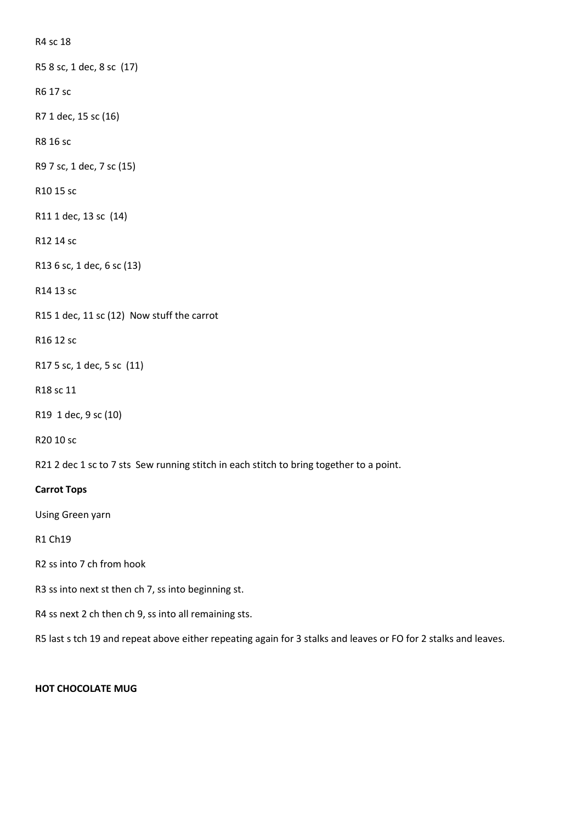R4 sc 18

R5 8 sc, 1 dec, 8 sc (17)

R6 17 sc

R7 1 dec, 15 sc (16)

R8 16 sc

R9 7 sc, 1 dec, 7 sc (15)

R10 15 sc

R11 1 dec, 13 sc (14)

R12 14 sc

R13 6 sc, 1 dec, 6 sc (13)

R14 13 sc

R15 1 dec, 11 sc (12) Now stuff the carrot

R16 12 sc

R17 5 sc, 1 dec, 5 sc (11)

R18 sc 11

R19 1 dec, 9 sc (10)

R20 10 sc

R21 2 dec 1 sc to 7 sts Sew running stitch in each stitch to bring together to a point.

## **Carrot Tops**

Using Green yarn

R1 Ch19

R2 ss into 7 ch from hook

R3 ss into next st then ch 7, ss into beginning st.

R4 ss next 2 ch then ch 9, ss into all remaining sts.

R5 last s tch 19 and repeat above either repeating again for 3 stalks and leaves or FO for 2 stalks and leaves.

#### **HOT CHOCOLATE MUG**